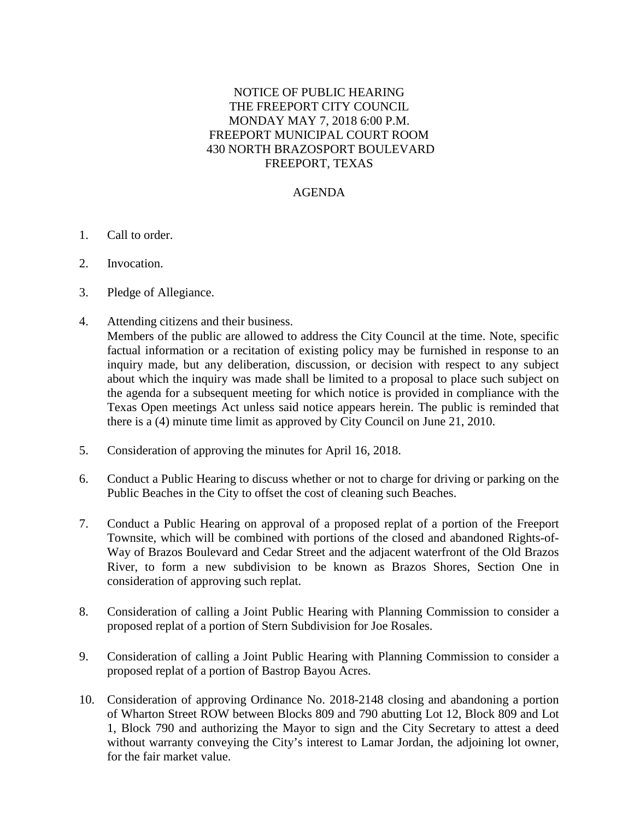## NOTICE OF PUBLIC HEARING THE FREEPORT CITY COUNCIL MONDAY MAY 7, 2018 6:00 P.M. FREEPORT MUNICIPAL COURT ROOM 430 NORTH BRAZOSPORT BOULEVARD FREEPORT, TEXAS

## AGENDA

- 1. Call to order.
- 2. Invocation.
- 3. Pledge of Allegiance.
- 4. Attending citizens and their business. Members of the public are allowed to address the City Council at the time. Note, specific factual information or a recitation of existing policy may be furnished in response to an inquiry made, but any deliberation, discussion, or decision with respect to any subject about which the inquiry was made shall be limited to a proposal to place such subject on the agenda for a subsequent meeting for which notice is provided in compliance with the Texas Open meetings Act unless said notice appears herein. The public is reminded that there is a (4) minute time limit as approved by City Council on June 21, 2010.
- 5. Consideration of approving the minutes for April 16, 2018.
- 6. Conduct a Public Hearing to discuss whether or not to charge for driving or parking on the Public Beaches in the City to offset the cost of cleaning such Beaches.
- 7. Conduct a Public Hearing on approval of a proposed replat of a portion of the Freeport Townsite, which will be combined with portions of the closed and abandoned Rights-of-Way of Brazos Boulevard and Cedar Street and the adjacent waterfront of the Old Brazos River, to form a new subdivision to be known as Brazos Shores, Section One in consideration of approving such replat.
- 8. Consideration of calling a Joint Public Hearing with Planning Commission to consider a proposed replat of a portion of Stern Subdivision for Joe Rosales.
- 9. Consideration of calling a Joint Public Hearing with Planning Commission to consider a proposed replat of a portion of Bastrop Bayou Acres.
- 10. Consideration of approving Ordinance No. 2018-2148 closing and abandoning a portion of Wharton Street ROW between Blocks 809 and 790 abutting Lot 12, Block 809 and Lot 1, Block 790 and authorizing the Mayor to sign and the City Secretary to attest a deed without warranty conveying the City's interest to Lamar Jordan, the adjoining lot owner, for the fair market value.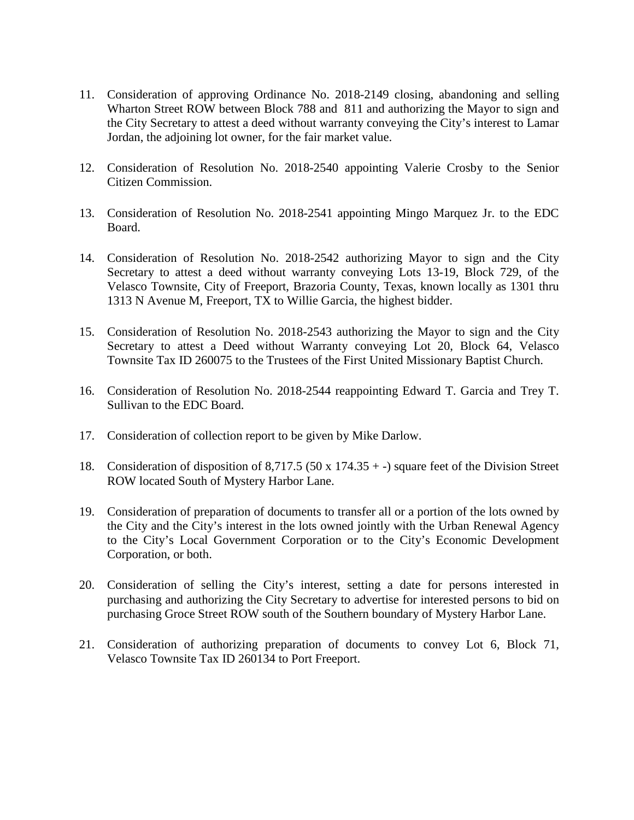- 11. Consideration of approving Ordinance No. 2018-2149 closing, abandoning and selling Wharton Street ROW between Block 788 and 811 and authorizing the Mayor to sign and the City Secretary to attest a deed without warranty conveying the City's interest to Lamar Jordan, the adjoining lot owner, for the fair market value.
- 12. Consideration of Resolution No. 2018-2540 appointing Valerie Crosby to the Senior Citizen Commission.
- 13. Consideration of Resolution No. 2018-2541 appointing Mingo Marquez Jr. to the EDC Board.
- 14. Consideration of Resolution No. 2018-2542 authorizing Mayor to sign and the City Secretary to attest a deed without warranty conveying Lots 13-19, Block 729, of the Velasco Townsite, City of Freeport, Brazoria County, Texas, known locally as 1301 thru 1313 N Avenue M, Freeport, TX to Willie Garcia, the highest bidder.
- 15. Consideration of Resolution No. 2018-2543 authorizing the Mayor to sign and the City Secretary to attest a Deed without Warranty conveying Lot 20, Block 64, Velasco Townsite Tax ID 260075 to the Trustees of the First United Missionary Baptist Church.
- 16. Consideration of Resolution No. 2018-2544 reappointing Edward T. Garcia and Trey T. Sullivan to the EDC Board.
- 17. Consideration of collection report to be given by Mike Darlow.
- 18. Consideration of disposition of 8,717.5 (50 x 174.35 + -) square feet of the Division Street ROW located South of Mystery Harbor Lane.
- 19. Consideration of preparation of documents to transfer all or a portion of the lots owned by the City and the City's interest in the lots owned jointly with the Urban Renewal Agency to the City's Local Government Corporation or to the City's Economic Development Corporation, or both.
- 20. Consideration of selling the City's interest, setting a date for persons interested in purchasing and authorizing the City Secretary to advertise for interested persons to bid on purchasing Groce Street ROW south of the Southern boundary of Mystery Harbor Lane.
- 21. Consideration of authorizing preparation of documents to convey Lot 6, Block 71, Velasco Townsite Tax ID 260134 to Port Freeport.